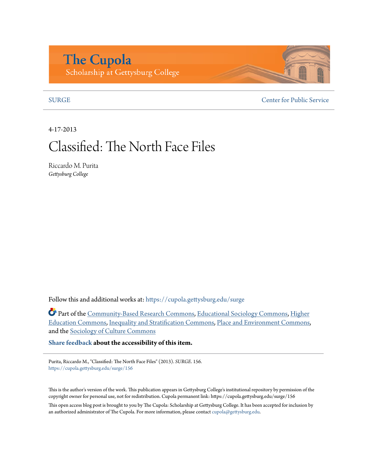# **The Cupola** Scholarship at Gettysburg College

[SURGE](https://cupola.gettysburg.edu/surge?utm_source=cupola.gettysburg.edu%2Fsurge%2F156&utm_medium=PDF&utm_campaign=PDFCoverPages) [Center for Public Service](https://cupola.gettysburg.edu/cps?utm_source=cupola.gettysburg.edu%2Fsurge%2F156&utm_medium=PDF&utm_campaign=PDFCoverPages)

4-17-2013

# Classified: The North Face Files

Riccardo M. Purita *Gettysburg College*

Follow this and additional works at: [https://cupola.gettysburg.edu/surge](https://cupola.gettysburg.edu/surge?utm_source=cupola.gettysburg.edu%2Fsurge%2F156&utm_medium=PDF&utm_campaign=PDFCoverPages)

Part of the [Community-Based Research Commons](http://network.bepress.com/hgg/discipline/1047?utm_source=cupola.gettysburg.edu%2Fsurge%2F156&utm_medium=PDF&utm_campaign=PDFCoverPages), [Educational Sociology Commons,](http://network.bepress.com/hgg/discipline/1071?utm_source=cupola.gettysburg.edu%2Fsurge%2F156&utm_medium=PDF&utm_campaign=PDFCoverPages) [Higher](http://network.bepress.com/hgg/discipline/1245?utm_source=cupola.gettysburg.edu%2Fsurge%2F156&utm_medium=PDF&utm_campaign=PDFCoverPages) [Education Commons](http://network.bepress.com/hgg/discipline/1245?utm_source=cupola.gettysburg.edu%2Fsurge%2F156&utm_medium=PDF&utm_campaign=PDFCoverPages), [Inequality and Stratification Commons](http://network.bepress.com/hgg/discipline/421?utm_source=cupola.gettysburg.edu%2Fsurge%2F156&utm_medium=PDF&utm_campaign=PDFCoverPages), [Place and Environment Commons,](http://network.bepress.com/hgg/discipline/424?utm_source=cupola.gettysburg.edu%2Fsurge%2F156&utm_medium=PDF&utm_campaign=PDFCoverPages) and the [Sociology of Culture Commons](http://network.bepress.com/hgg/discipline/431?utm_source=cupola.gettysburg.edu%2Fsurge%2F156&utm_medium=PDF&utm_campaign=PDFCoverPages)

**[Share feedback](https://docs.google.com/a/bepress.com/forms/d/1h9eEcpBPj5POs5oO6Y5A0blXRmZqykoonyYiZUNyEq8/viewform) about the accessibility of this item.**

Purita, Riccardo M., "Classified: The North Face Files" (2013). *SURGE*. 156. [https://cupola.gettysburg.edu/surge/156](https://cupola.gettysburg.edu/surge/156?utm_source=cupola.gettysburg.edu%2Fsurge%2F156&utm_medium=PDF&utm_campaign=PDFCoverPages)

This is the author's version of the work. This publication appears in Gettysburg College's institutional repository by permission of the copyright owner for personal use, not for redistribution. Cupola permanent link: https://cupola.gettysburg.edu/surge/156

This open access blog post is brought to you by The Cupola: Scholarship at Gettysburg College. It has been accepted for inclusion by an authorized administrator of The Cupola. For more information, please contact [cupola@gettysburg.edu](mailto:cupola@gettysburg.edu).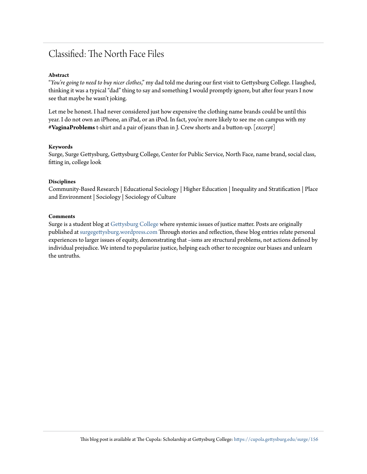# Classified: The North Face Files

#### **Abstract**

"*You're going to need to buy nicer clothes*," my dad told me during our first visit to Gettysburg College. I laughed, thinking it was a typical "dad" thing to say and something I would promptly ignore, but after four years I now see that maybe he wasn't joking.

Let me be honest. I had never considered just how expensive the clothing name brands could be until this year. I do not own an iPhone, an iPad, or an iPod. In fact, you're more likely to see me on campus with my **#VaginaProblems**t-shirt and a pair of jeans than in J. Crew shorts and a button-up. [*excerpt*]

#### **Keywords**

Surge, Surge Gettysburg, Gettysburg College, Center for Public Service, North Face, name brand, social class, fitting in, college look

#### **Disciplines**

Community-Based Research | Educational Sociology | Higher Education | Inequality and Stratification | Place and Environment | Sociology | Sociology of Culture

#### **Comments**

Surge is a student blog at [Gettysburg College](http://www.gettysburg.edu/) where systemic issues of justice matter. Posts are originally published at [surgegettysburg.wordpress.com](http://surgegettysburg.wordpress.com/) Through stories and reflection, these blog entries relate personal experiences to larger issues of equity, demonstrating that –isms are structural problems, not actions defined by individual prejudice. We intend to popularize justice, helping each other to recognize our biases and unlearn the untruths.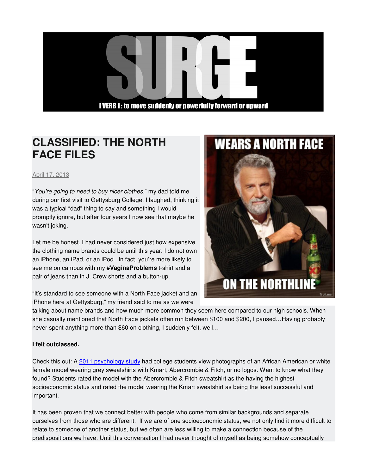## **[VERB 1: to move suddenly or powerfully forward or upward**

# **CLASSIFIED: THE NORT NORTH FACE FILES**

April 17, 2013

"You're going to need to buy nicer clothes," my dad told me during our first visit to Gettysburg College. I laughed, thinking it was a typical "dad" thing to say and something I would promptly ignore, but after four years I now see that maybe he wasn't joking.

Let me be honest. I had never considered just how expensive the clothing name brands could be until this year. I do not own an iPhone, an iPad, or an iPod. In fact, you're more likely to see me on campus with my **#VaginaProblems** pair of jeans than in J. Crew shorts and a button-up. r first visit to Gettysburg College. I laughed, thinking<br>ical "dad" thing to say and something I would<br>ignore, but after four years I now see that maybe he<br>sing.<br>a honest. I had never considered just how expensiv<br>ng name b

"It's standard to see someone with a North Face jacket and an iPhone here at Gettysburg," my friend said to me as we were



### **I felt outclassed.**

Check this out: A 2011 psychology study had college students view photographs of an African American or white female model wearing grey sweatshirts with Kmart, Abercrombie & Fitch, or no logos. Want to know what they found? Students rated the model with the Abercrombie & Fitch sweatshirt as the having the highest socioeconomic status and rated the model wearing the Kmart sweatshirt as being the least successful and important. socioeconomic status and rated the model wearing the Kmart sweatshirt as being the least successful and<br>important.<br>It has been proven that we connect better with people who come from similar backgrounds and separate<br>oursel h Face jackets often run between \$100 and \$200, I paused...Having proba<br>
660 on clothing, I suddenly felt, well...<br>
1990 study had college students view photographs of an African American or<br>
1991 study had college student

It has been proven that we connect better with people who come from similar backgrounds and separate relate to someone of another status, but we often are less willing to make a connection because of the predispositions we have. Until this conversation I had never thought of myself as being somehow conceptually